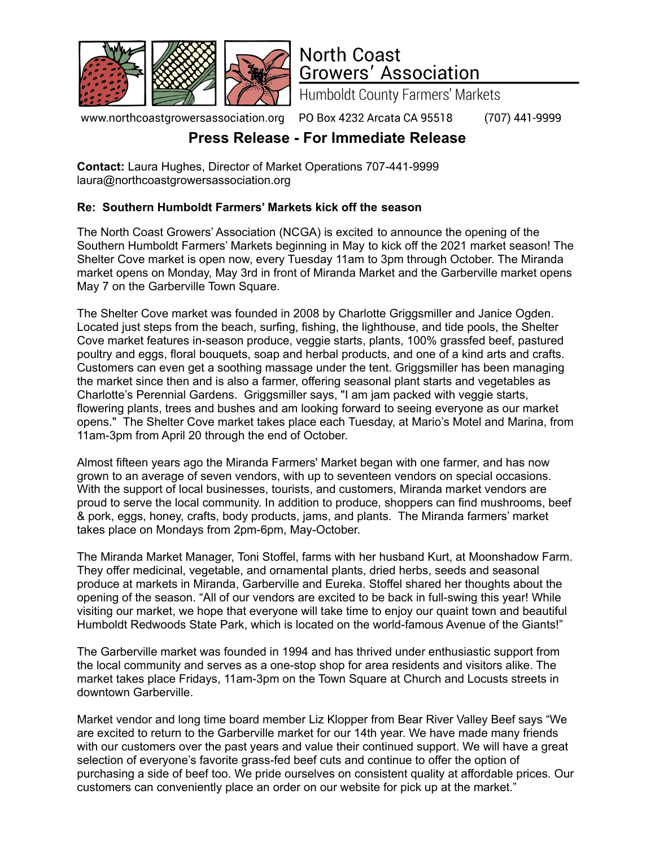

**North Coast Growers' Association** 

**Humboldt County Farmers' Markets** 

www.northcoastgrowersassociation.org

PO Box 4232 Arcata CA 95518

(707) 441-9999

## **Press Release - For Immediate Release**

**Contact:** Laura Hughes, Director of Market Operations 707-441-9999 laura@northcoastgrowersassociation.org

## **Re: Southern Humboldt Farmers' Markets kick off the season**

The North Coast Growers' Association (NCGA) is excited to announce the opening of the Southern Humboldt Farmers' Markets beginning in May to kick off the 2021 market season! The Shelter Cove market is open now, every Tuesday 11am to 3pm through October. The Miranda market opens on Monday, May 3rd in front of Miranda Market and the Garberville market opens May 7 on the Garberville Town Square.

The Shelter Cove market was founded in 2008 by Charlotte Griggsmiller and Janice Ogden. Located just steps from the beach, surfing, fishing, the lighthouse, and tide pools, the Shelter Cove market features in-season produce, veggie starts, plants, 100% grassfed beef, pastured poultry and eggs, floral bouquets, soap and herbal products, and one of a kind arts and crafts. Customers can even get a soothing massage under the tent. Griggsmiller has been managing the market since then and is also a farmer, offering seasonal plant starts and vegetables as Charlotte's Perennial Gardens. Griggsmiller says, "I am jam packed with veggie starts, flowering plants, trees and bushes and am looking forward to seeing everyone as our market opens." The Shelter Cove market takes place each Tuesday, at Mario's Motel and Marina, from 11am-3pm from April 20 through the end of October.

Almost fifteen years ago the Miranda Farmers' Market began with one farmer, and has now grown to an average of seven vendors, with up to seventeen vendors on special occasions. With the support of local businesses, tourists, and customers, Miranda market vendors are proud to serve the local community. In addition to produce, shoppers can find mushrooms, beef & pork, eggs, honey, crafts, body products, jams, and plants. The Miranda farmers' market takes place on Mondays from 2pm-6pm, May-October.

The Miranda Market Manager, Toni Stoffel, farms with her husband Kurt, at Moonshadow Farm. They offer medicinal, vegetable, and ornamental plants, dried herbs, seeds and seasonal produce at markets in Miranda, Garberville and Eureka. Stoffel shared her thoughts about the opening of the season. "All of our vendors are excited to be back in full-swing this year! While visiting our market, we hope that everyone will take time to enjoy our quaint town and beautiful Humboldt Redwoods State Park, which is located on the world-famous Avenue of the Giants!"

The Garberville market was founded in 1994 and has thrived under enthusiastic support from the local community and serves as a one-stop shop for area residents and visitors alike. The market takes place Fridays, 11am-3pm on the Town Square at Church and Locusts streets in downtown Garberville.

Market vendor and long time board member Liz Klopper from Bear River Valley Beef says "We are excited to return to the Garberville market for our 14th year. We have made many friends with our customers over the past years and value their continued support. We will have a great selection of everyone's favorite grass-fed beef cuts and continue to offer the option of purchasing a side of beef too. We pride ourselves on consistent quality at affordable prices. Our customers can conveniently place an order on our website for pick up at the market."